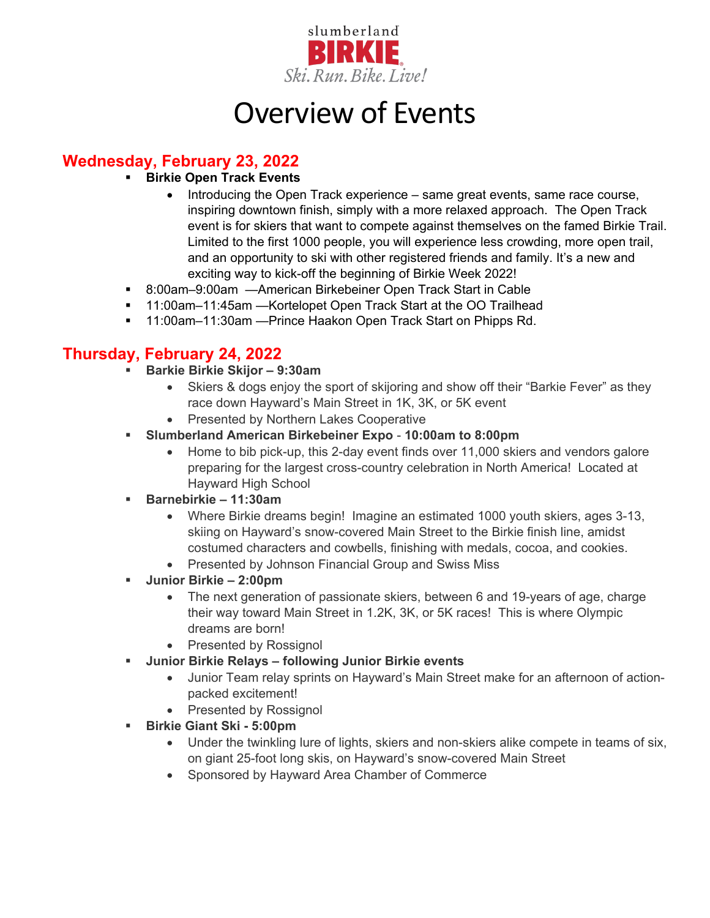

# Overview of Events

## **Wednesday, February 23, 2022**

- **Birkie Open Track Events** 
	- Introducing the Open Track experience same great events, same race course, inspiring downtown finish, simply with a more relaxed approach. The Open Track event is for skiers that want to compete against themselves on the famed Birkie Trail. Limited to the first 1000 people, you will experience less crowding, more open trail, and an opportunity to ski with other registered friends and family. It's a new and exciting way to kick-off the beginning of Birkie Week 2022!
- 8:00am–9:00am —American Birkebeiner Open Track Start in Cable
- 11:00am–11:45am —Kortelopet Open Track Start at the OO Trailhead
- <sup>11:00</sup>am–11:30am Prince Haakon Open Track Start on Phipps Rd.

### **Thursday, February 24, 2022**

- **Barkie Birkie Skijor – 9:30am**
	- Skiers & dogs enjoy the sport of skijoring and show off their "Barkie Fever" as they race down Hayward's Main Street in 1K, 3K, or 5K event
	- Presented by Northern Lakes Cooperative
- **Slumberland American Birkebeiner Expo 10:00am to 8:00pm**
	- Home to bib pick-up, this 2-day event finds over 11,000 skiers and vendors galore preparing for the largest cross-country celebration in North America! Located at Hayward High School
- **Barnebirkie – 11:30am**
	- Where Birkie dreams begin! Imagine an estimated 1000 youth skiers, ages 3-13, skiing on Hayward's snow-covered Main Street to the Birkie finish line, amidst costumed characters and cowbells, finishing with medals, cocoa, and cookies.
	- Presented by Johnson Financial Group and Swiss Miss
- **Junior Birkie – 2:00pm**
	- The next generation of passionate skiers, between 6 and 19-years of age, charge their way toward Main Street in 1.2K, 3K, or 5K races! This is where Olympic dreams are born!
	- Presented by Rossignol
- **Junior Birkie Relays – following Junior Birkie events**
	- Junior Team relay sprints on Hayward's Main Street make for an afternoon of actionpacked excitement!
	- Presented by Rossignol
- **Birkie Giant Ski - 5:00pm**
	- Under the twinkling lure of lights, skiers and non-skiers alike compete in teams of six, on giant 25-foot long skis, on Hayward's snow-covered Main Street
	- Sponsored by Hayward Area Chamber of Commerce